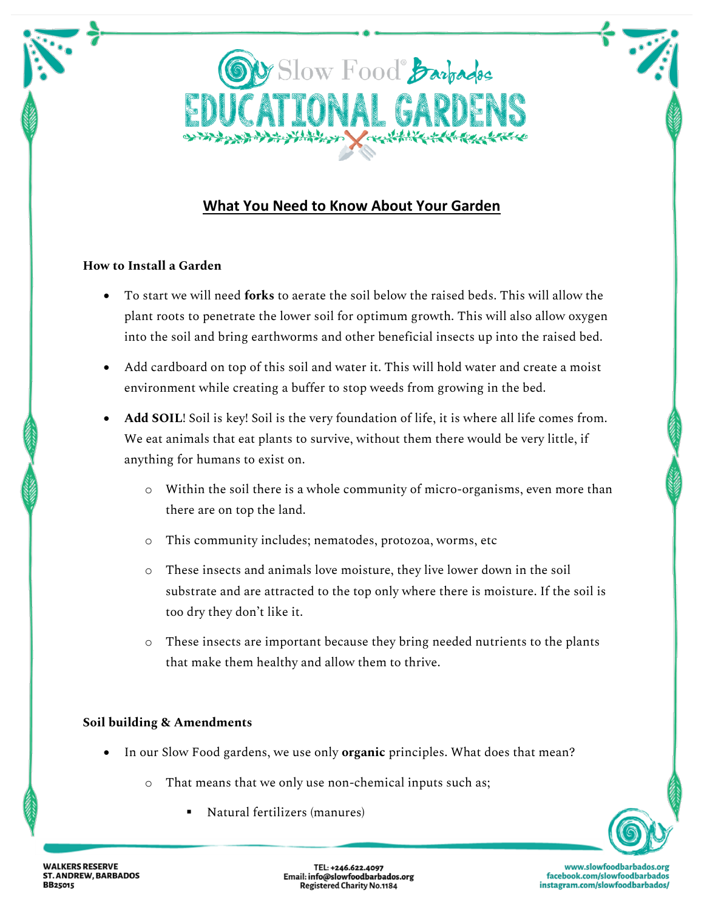

# **What You Need to Know About Your Garden**

## **How to Install a Garden**

- To start we will need **forks** to aerate the soil below the raised beds. This will allow the plant roots to penetrate the lower soil for optimum growth. This will also allow oxygen into the soil and bring earthworms and other beneficial insects up into the raised bed.
- Add cardboard on top of this soil and water it. This will hold water and create a moist environment while creating a buffer to stop weeds from growing in the bed.
- **Add SOIL**! Soil is key! Soil is the very foundation of life, it is where all life comes from. We eat animals that eat plants to survive, without them there would be very little, if anything for humans to exist on.
	- o Within the soil there is a whole community of micro-organisms, even more than there are on top the land.
	- o This community includes; nematodes, protozoa, worms, etc
	- o These insects and animals love moisture, they live lower down in the soil substrate and are attracted to the top only where there is moisture. If the soil is too dry they don't like it.
	- o These insects are important because they bring needed nutrients to the plants that make them healthy and allow them to thrive.

#### **Soil building & Amendments**

- In our Slow Food gardens, we use only **organic** principles. What does that mean?
	- o That means that we only use non-chemical inputs such as;
		- Natural fertilizers (manures)



**WALKERS RESERVE ST. ANDREW, BARBADOS BB25015** 

TEL: +246.622.4097 Email: info@slowfoodbarbados.org **Registered Charity No.1184** 

www.slowfoodbarbados.org facebook.com/slowfoodbarbados instagram.com/slowfoodbarbados/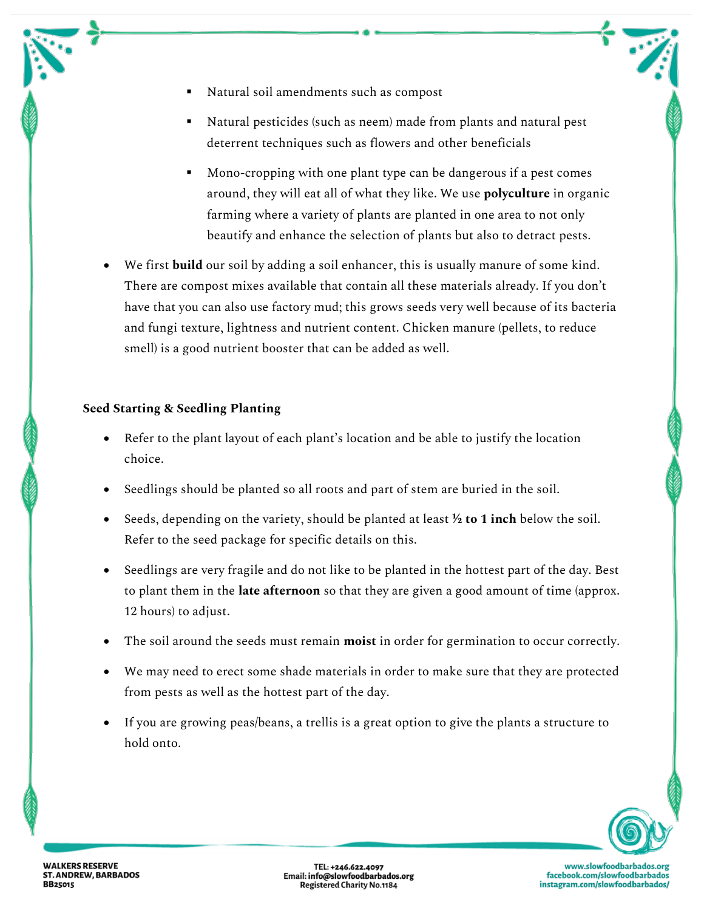- Natural soil amendments such as compost
- Natural pesticides (such as neem) made from plants and natural pest deterrent techniques such as flowers and other beneficials
- Mono-cropping with one plant type can be dangerous if a pest comes around, they will eat all of what they like. We use **polyculture** in organic farming where a variety of plants are planted in one area to not only beautify and enhance the selection of plants but also to detract pests.
- We first **build** our soil by adding a soil enhancer, this is usually manure of some kind. There are compost mixes available that contain all these materials already. If you don't have that you can also use factory mud; this grows seeds very well because of its bacteria and fungi texture, lightness and nutrient content. Chicken manure (pellets, to reduce smell) is a good nutrient booster that can be added as well.

## **Seed Starting & Seedling Planting**

- Refer to the plant layout of each plant's location and be able to justify the location choice.
- Seedlings should be planted so all roots and part of stem are buried in the soil.
- Seeds, depending on the variety, should be planted at least **½ to 1 inch** below the soil. Refer to the seed package for specific details on this.
- Seedlings are very fragile and do not like to be planted in the hottest part of the day. Best to plant them in the **late afternoon** so that they are given a good amount of time (approx. 12 hours) to adjust.
- The soil around the seeds must remain **moist** in order for germination to occur correctly.
- We may need to erect some shade materials in order to make sure that they are protected from pests as well as the hottest part of the day.
- If you are growing peas/beans, a trellis is a great option to give the plants a structure to hold onto.

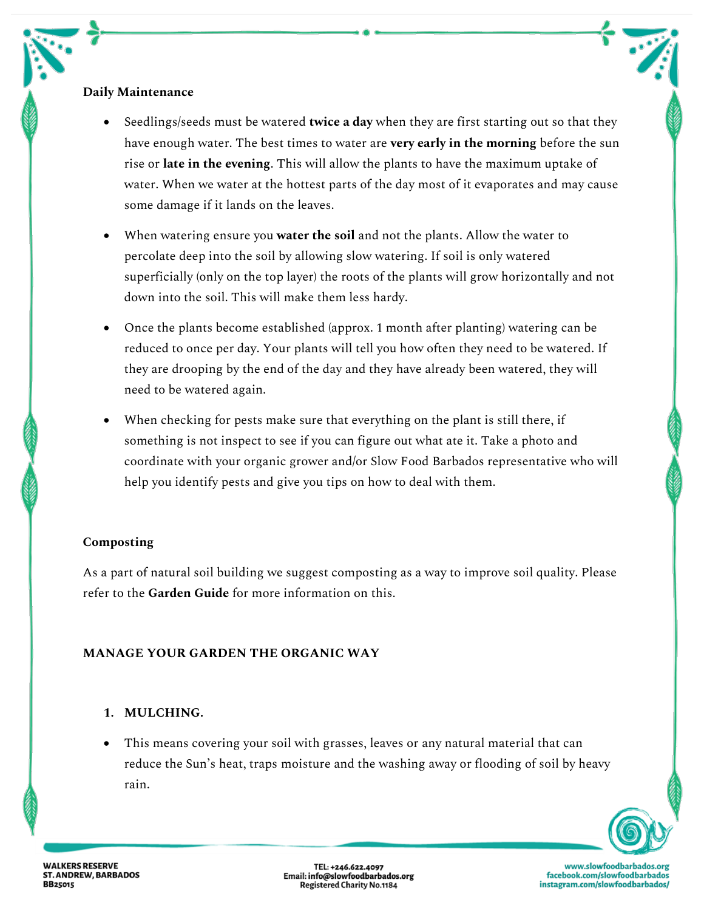## **Daily Maintenance**

- Seedlings/seeds must be watered **twice a day** when they are first starting out so that they have enough water. The best times to water are **very early in the morning** before the sun rise or **late in the evening**. This will allow the plants to have the maximum uptake of water. When we water at the hottest parts of the day most of it evaporates and may cause some damage if it lands on the leaves.
- When watering ensure you **water the soil** and not the plants. Allow the water to percolate deep into the soil by allowing slow watering. If soil is only watered superficially (only on the top layer) the roots of the plants will grow horizontally and not down into the soil. This will make them less hardy.
- Once the plants become established (approx. 1 month after planting) watering can be reduced to once per day. Your plants will tell you how often they need to be watered. If they are drooping by the end of the day and they have already been watered, they will need to be watered again.
- When checking for pests make sure that everything on the plant is still there, if something is not inspect to see if you can figure out what ate it. Take a photo and coordinate with your organic grower and/or Slow Food Barbados representative who will help you identify pests and give you tips on how to deal with them.

# **Composting**

As a part of natural soil building we suggest composting as a way to improve soil quality. Please refer to the **Garden Guide** for more information on this.

# **MANAGE YOUR GARDEN THE ORGANIC WAY**

# **1. MULCHING.**

• This means covering your soil with grasses, leaves or any natural material that can reduce the Sun's heat, traps moisture and the washing away or flooding of soil by heavy rain.



**WALKERS RESERVE ST. ANDREW, BARBADOS BB25015** 

TEL: +246.622.4097<br>Email: info@slowfoodbarbados.org<br>Registered Charity No.1184

www.slowfoodbarbados.org facebook.com/slowfoodbarbados instagram.com/slowfoodbarbados/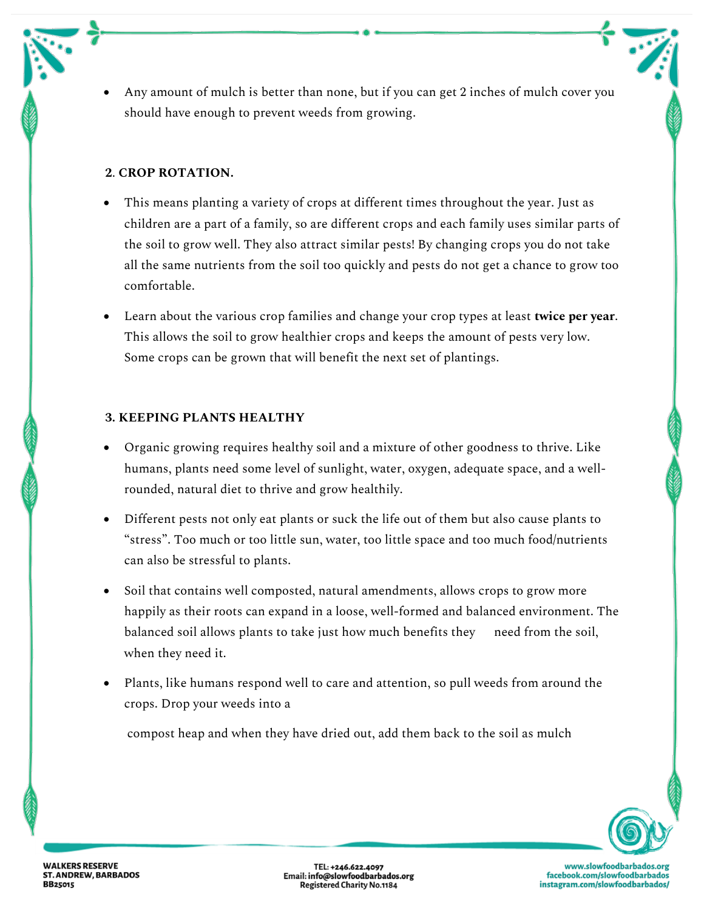• Any amount of mulch is better than none, but if you can get 2 inches of mulch cover you should have enough to prevent weeds from growing.

#### **2**. **CROP ROTATION.**

- This means planting a variety of crops at different times throughout the year. Just as children are a part of a family, so are different crops and each family uses similar parts of the soil to grow well. They also attract similar pests! By changing crops you do not take all the same nutrients from the soil too quickly and pests do not get a chance to grow too comfortable.
- Learn about the various crop families and change your crop types at least **twice per year**. This allows the soil to grow healthier crops and keeps the amount of pests very low. Some crops can be grown that will benefit the next set of plantings.

## **3. KEEPING PLANTS HEALTHY**

- Organic growing requires healthy soil and a mixture of other goodness to thrive. Like humans, plants need some level of sunlight, water, oxygen, adequate space, and a wellrounded, natural diet to thrive and grow healthily.
- Different pests not only eat plants or suck the life out of them but also cause plants to "stress". Too much or too little sun, water, too little space and too much food/nutrients can also be stressful to plants.
- Soil that contains well composted, natural amendments, allows crops to grow more happily as their roots can expand in a loose, well-formed and balanced environment. The balanced soil allows plants to take just how much benefits they need from the soil, when they need it.
- Plants, like humans respond well to care and attention, so pull weeds from around the crops. Drop your weeds into a

compost heap and when they have dried out, add them back to the soil as mulch



TEL: +246.622.4097<br>Email: info@slowfoodbarbados.org<br>Registered Charity No.1184

www.slowfoodbarbados.org facebook.com/slowfoodbarbados instagram.com/slowfoodbarbados/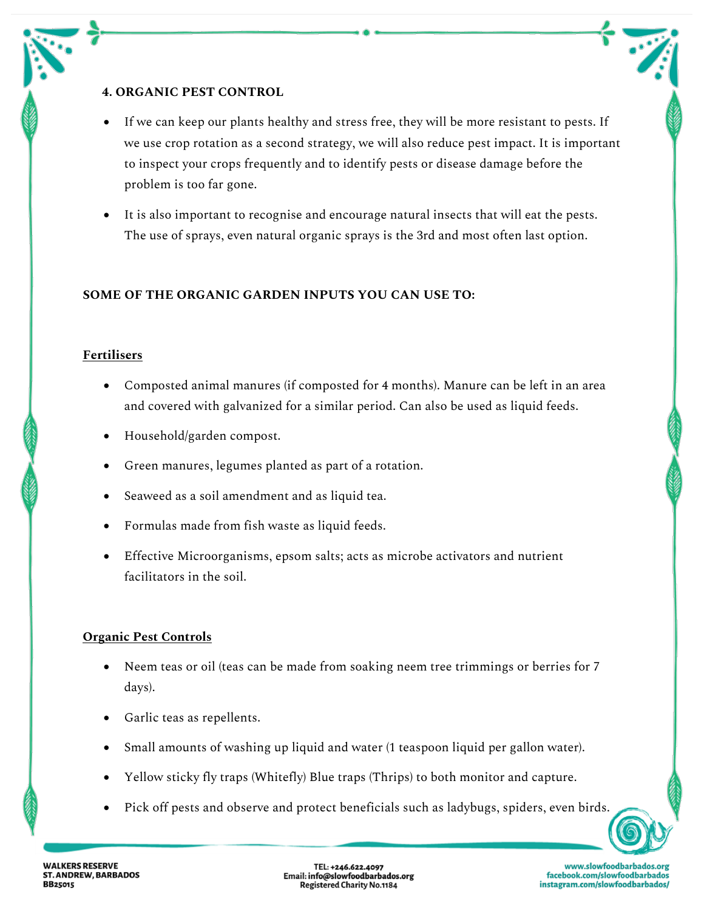## **4. ORGANIC PEST CONTROL**

- If we can keep our plants healthy and stress free, they will be more resistant to pests. If we use crop rotation as a second strategy, we will also reduce pest impact. It is important to inspect your crops frequently and to identify pests or disease damage before the problem is too far gone.
- It is also important to recognise and encourage natural insects that will eat the pests. The use of sprays, even natural organic sprays is the 3rd and most often last option.

## **SOME OF THE ORGANIC GARDEN INPUTS YOU CAN USE TO:**

#### **Fertilisers**

- Composted animal manures (if composted for 4 months). Manure can be left in an area and covered with galvanized for a similar period. Can also be used as liquid feeds.
- Household/garden compost.
- Green manures, legumes planted as part of a rotation.
- Seaweed as a soil amendment and as liquid tea.
- Formulas made from fish waste as liquid feeds.
- Effective Microorganisms, epsom salts; acts as microbe activators and nutrient facilitators in the soil.

# **Organic Pest Controls**

- Neem teas or oil (teas can be made from soaking neem tree trimmings or berries for 7 days).
- Garlic teas as repellents.
- Small amounts of washing up liquid and water (1 teaspoon liquid per gallon water).
- Yellow sticky fly traps (Whitefly) Blue traps (Thrips) to both monitor and capture.
- Pick off pests and observe and protect beneficials such as ladybugs, spiders, even birds.